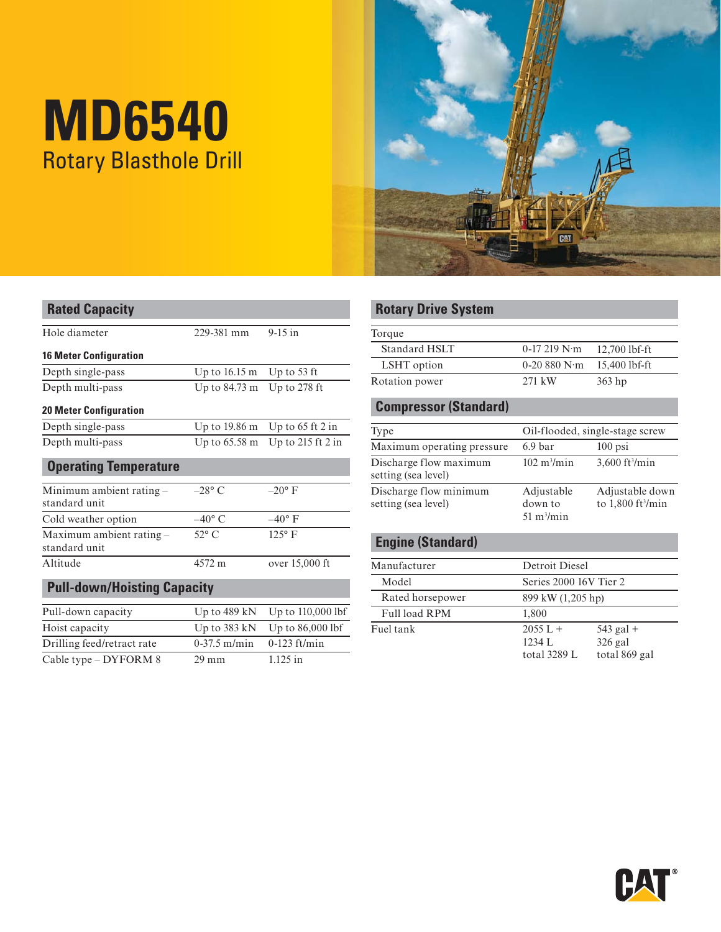# **MD6540**  Rotary Blasthole Drill



| <b>Rated Capacity</b>                     |                         |                       | <b>Rotary Drive System</b>                    |                              |  |
|-------------------------------------------|-------------------------|-----------------------|-----------------------------------------------|------------------------------|--|
| Hole diameter                             | 229-381 mm              | $9-15$ in             | Torque                                        |                              |  |
| <b>16 Meter Configuration</b>             |                         |                       | <b>Standard HSLT</b>                          | 0-17 219 N·m                 |  |
| Depth single-pass                         |                         | Up to 53 ft           | LSHT option                                   | 0-20 $880$ N·m               |  |
|                                           | Up to $16.15 \text{ m}$ |                       | Rotation power                                | 271 kW                       |  |
| Depth multi-pass                          | Up to $84.73 \text{ m}$ | Up to $278$ ft        |                                               |                              |  |
| <b>20 Meter Configuration</b>             |                         |                       | <b>Compressor (Standard)</b>                  |                              |  |
| Depth single-pass                         | Up to 19.86 m           | Up to $65$ ft $2$ in  | Type                                          | Oil-flooded, si              |  |
| Depth multi-pass                          | Up to $65.58 \text{ m}$ | Up to $215$ ft $2$ in | Maximum operating pressure                    | 6.9 <sub>bar</sub>           |  |
| <b>Operating Temperature</b>              |                         |                       | Discharge flow maximum<br>setting (sea level) | $102 \text{ m}^3/\text{min}$ |  |
| Minimum ambient rating -<br>standard unit | $-28$ °C                | $-20^{\circ}$ F       | Discharge flow minimum<br>setting (sea level) | Adjustable<br>down to        |  |
| Cold weather option                       | $-40^{\circ}$ C         | $-40^{\circ}$ F       |                                               | $51 \text{ m}^3/\text{min}$  |  |
| Maximum ambient rating -<br>standard unit | $52^{\circ}$ C          | 125°F                 | <b>Engine (Standard)</b>                      |                              |  |
| Altitude                                  | 4572 m                  | over 15,000 ft        | Manufacturer                                  | Detroit Diesel               |  |
| <b>Pull-down/Hoisting Capacity</b>        |                         |                       | Model                                         | Series 2000 16'              |  |
|                                           |                         |                       | Rated horsepower                              | 899 kW (1,205)               |  |
| Pull-down capacity                        | Up to 489 kN            | Up to 110,000 lbf     | Full load RPM                                 | 1,800                        |  |
| Hoist capacity                            | Up to 383 kN            | Up to 86,000 lbf      | Fuel tank                                     | $2055 L +$                   |  |
| Drilling feed/retract rate                | $0-37.5$ m/min          | $0-123$ ft/min        |                                               | 1234 L                       |  |
| Cable type - DYFORM 8                     | $29 \text{ mm}$         | $1.125$ in            |                                               | total 3289 L                 |  |

# **Rotary Drive System**

| Torque               |                       |                 |
|----------------------|-----------------------|-----------------|
| <b>Standard HSLT</b> | $0-17219$ N $\cdot$ m | $12,700$ lbf-ft |
| LSHT option          | $0-20880 N·m$         | 15.400 lbf-ft   |
| Rotation power       | $271 \text{ kW}$      | $363$ hp        |

## **20 Compressor (Standard)**

| Type                                          | Oil-flooded, single-stage screw                      |                                                    |  |
|-----------------------------------------------|------------------------------------------------------|----------------------------------------------------|--|
| Maximum operating pressure                    | 6.9 <sub>bar</sub>                                   | $100$ psi                                          |  |
| Discharge flow maximum<br>setting (sea level) | $102 \text{ m}^3/\text{min}$                         | $3,600$ ft <sup>3</sup> /min                       |  |
| Discharge flow minimum<br>setting (sea level) | Adjustable<br>down to<br>$51 \text{ m}^3/\text{min}$ | Adjustable down<br>to $1,800$ ft <sup>3</sup> /min |  |

# **Engine (Standard)**

| Manufacturer     |                                      | Detroit Diesel                            |  |  |
|------------------|--------------------------------------|-------------------------------------------|--|--|
| Model            |                                      | Series 2000 16V Tier 2                    |  |  |
| Rated horsepower |                                      | 899 kW (1,205 hp)                         |  |  |
| Full load RPM    | 1.800                                |                                           |  |  |
| Fuel tank        | $2055 L +$<br>1234 L<br>total 3289 L | $543$ gal +<br>$326$ gal<br>total 869 gal |  |  |

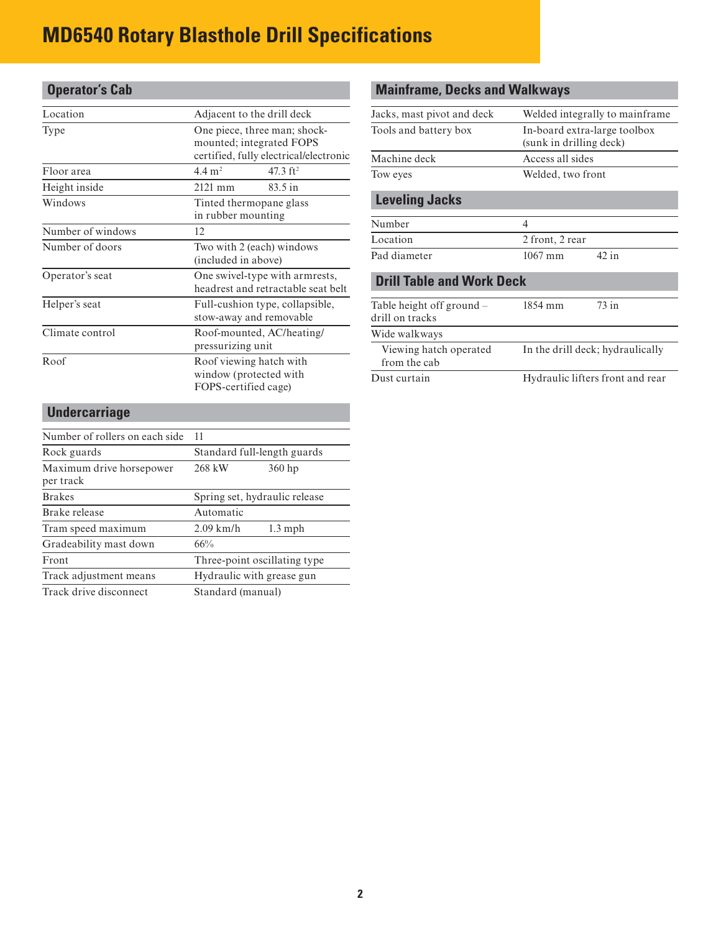# **MD6540 Rotary Blasthole Drill Specifications**

| <b>Operator's Cab</b> |                                                                                                    |  |  |
|-----------------------|----------------------------------------------------------------------------------------------------|--|--|
| Location              | Adjacent to the drill deck                                                                         |  |  |
| Type                  | One piece, three man; shock-<br>mounted; integrated FOPS<br>certified, fully electrical/electronic |  |  |
| Floor area            | $4.4 \text{ m}^2$<br>47.3 $ft^2$                                                                   |  |  |
| Height inside         | $2121$ mm<br>83.5 in                                                                               |  |  |
| Windows               | Tinted thermopane glass<br>in rubber mounting                                                      |  |  |
| Number of windows     | 12                                                                                                 |  |  |
| Number of doors       | Two with 2 (each) windows<br>(included in above)                                                   |  |  |
| Operator's seat       | One swivel-type with armrests,<br>headrest and retractable seat belt                               |  |  |
| Helper's seat         | Full-cushion type, collapsible,<br>stow-away and removable                                         |  |  |
| Climate control       | Roof-mounted, AC/heating/<br>pressurizing unit                                                     |  |  |
| Roof                  | Roof viewing hatch with<br>window (protected with<br>FOPS-certified cage)                          |  |  |

# **Mainframe, Decks and Walkways**

| Jacks, mast pivot and deck                   | Welded integrally to mainframe.                         |  |
|----------------------------------------------|---------------------------------------------------------|--|
| Tools and battery box                        | In-board extra-large toolbox<br>(sunk in drilling deck) |  |
| Machine deck                                 | Access all sides                                        |  |
| Tow eyes                                     | Welded, two front                                       |  |
| <b>Leveling Jacks</b>                        |                                                         |  |
| Number                                       | 4                                                       |  |
| Location                                     | 2 front, 2 rear                                         |  |
| Pad diameter                                 | $42$ in<br>$1067$ mm                                    |  |
| <b>Drill Table and Work Deck</b>             |                                                         |  |
| Table height off ground –<br>drill on tracks | 73 in<br>1854 mm                                        |  |
| Wide walkways                                |                                                         |  |
| Viewing hatch operated<br>from the cab       | In the drill deck; hydraulically                        |  |
| Dust curtain                                 | Hydraulic lifters front and rear                        |  |
|                                              |                                                         |  |

# **Undercarriage**

| Number of rollers on each side        | 11                            |  |  |
|---------------------------------------|-------------------------------|--|--|
| Rock guards                           | Standard full-length guards   |  |  |
| Maximum drive horsepower<br>per track | 268 kW<br>$360$ hp            |  |  |
| <b>Brakes</b>                         | Spring set, hydraulic release |  |  |
| Brake release                         | Automatic                     |  |  |
| Tram speed maximum                    | $2.09$ km/h<br>$1.3$ mph      |  |  |
| Gradeability mast down                | 66%                           |  |  |
| Front                                 | Three-point oscillating type  |  |  |
| Track adjustment means                | Hydraulic with grease gun     |  |  |
| Track drive disconnect                | Standard (manual)             |  |  |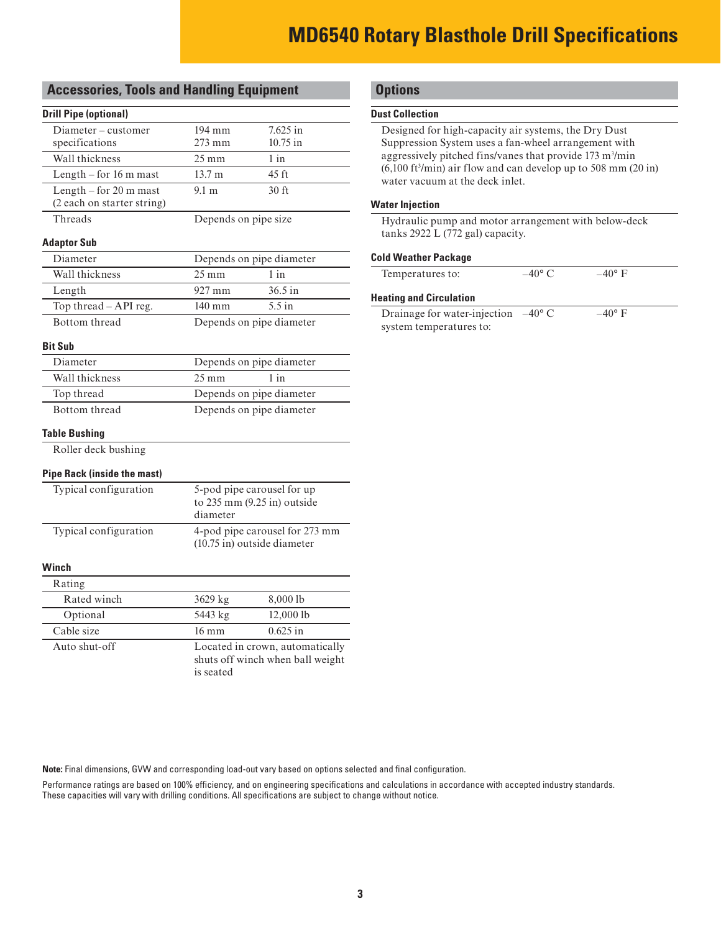# **MD6540 Rotary Blasthole Drill Specifications**

#### **Accessories, Tools and Handling Equipment**

#### **Drill Pipe (optional)**

| Diameter - customer                                  | 194 mm                                                                           | 7.625 in                 |
|------------------------------------------------------|----------------------------------------------------------------------------------|--------------------------|
| specifications                                       | 10.75 in<br>273 mm                                                               |                          |
| Wall thickness                                       | $25 \text{ mm}$                                                                  | $1$ in                   |
| Length $-$ for 16 m mast                             | 13.7 m                                                                           | $45 \text{ ft}$          |
| Length - for 20 m mast<br>(2 each on starter string) | 9.1 <sub>m</sub>                                                                 | 30 <sub>ft</sub>         |
| Threads                                              | Depends on pipe size                                                             |                          |
| <b>Adaptor Sub</b>                                   |                                                                                  |                          |
| Diameter                                             |                                                                                  | Depends on pipe diameter |
| Wall thickness                                       | $25 \text{ mm}$                                                                  | $1$ in                   |
| Length                                               | 927 mm                                                                           | $36.5$ in                |
| Top thread - API reg.                                | $140 \text{ mm}$                                                                 | $5.5$ in                 |
| Bottom thread                                        |                                                                                  | Depends on pipe diameter |
| <b>Bit Sub</b>                                       |                                                                                  |                          |
| Diameter                                             |                                                                                  | Depends on pipe diameter |
| Wall thickness                                       | $25 \text{ mm}$<br>$1$ in                                                        |                          |
| Top thread                                           | Depends on pipe diameter                                                         |                          |
| Bottom thread                                        | Depends on pipe diameter                                                         |                          |
| <b>Table Bushing</b>                                 |                                                                                  |                          |
| Roller deck bushing                                  |                                                                                  |                          |
| <b>Pipe Rack (inside the mast)</b>                   |                                                                                  |                          |
| Typical configuration                                | 5-pod pipe carousel for up<br>to 235 mm (9.25 in) outside<br>diameter            |                          |
| Typical configuration                                | 4-pod pipe carousel for 273 mm<br>(10.75 in) outside diameter                    |                          |
| Winch                                                |                                                                                  |                          |
| Rating                                               |                                                                                  |                          |
| Rated winch                                          | 3629 kg                                                                          | 8,000 lb                 |
| Optional                                             | 5443 kg                                                                          | 12,000 lb                |
| Cable size                                           | $16 \text{ mm}$                                                                  | $0.625$ in               |
| Auto shut-off                                        | Located in crown, automatically<br>shuts off winch when ball weight<br>is seated |                          |

### **Options**

#### **Dust Collection**

Designed for high-capacity air systems, the Dry Dust Suppression System uses a fan-wheel arrangement with aggressively pitched fins/vanes that provide 173 m<sup>3</sup>/min  $(6,100 \text{ ft}^3/\text{min})$  air flow and can develop up to 508 mm  $(20 \text{ in})$ water vacuum at the deck inlet.

#### **Water Injection**

Hydraulic pump and motor arrangement with below-deck tanks 2922 L (772 gal) capacity.

#### **Cold Weather Package**

| Temperatures to: | $-40^{\circ}$ C | $-40^{\circ}$ F |  |
|------------------|-----------------|-----------------|--|
|                  |                 |                 |  |

#### **Heating and Circulation**

| Drainage for water-injection | $-40^{\circ}$ C | $-40^{\circ}$ F |
|------------------------------|-----------------|-----------------|
| system temperatures to:      |                 |                 |

**Note:** Final dimensions, GVW and corresponding load-out vary based on options selected and final configuration.

Performance ratings are based on 100% efficiency, and on engineering specifications and calculations in accordance with accepted industry standards. These capacities will vary with drilling conditions. All specifications are subject to change without notice.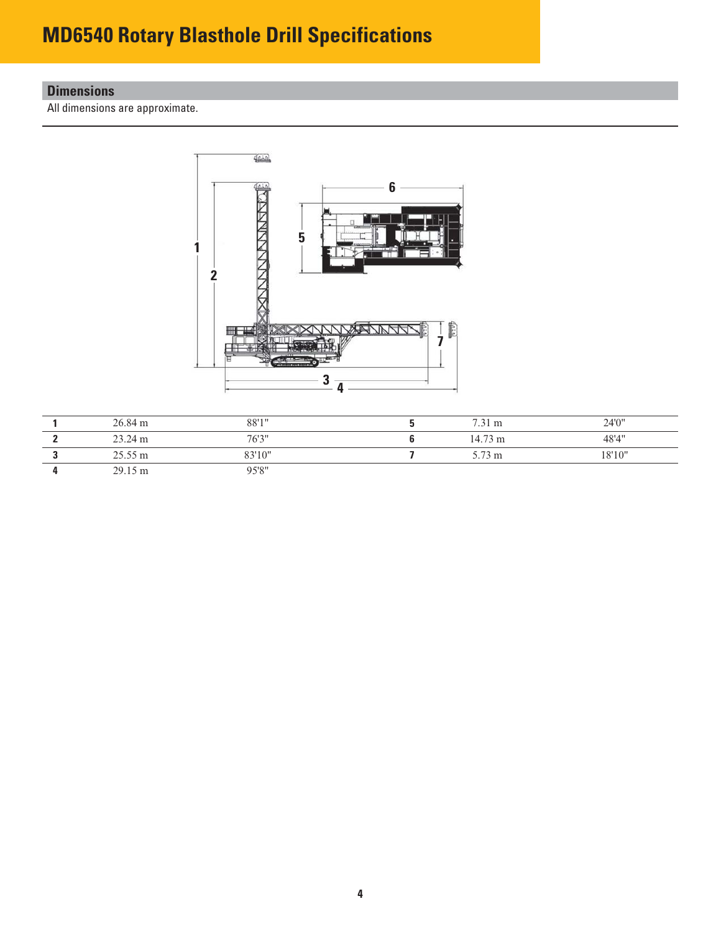# **MD6540 Rotary Blasthole Drill Specifications**

## **Dimensions**

All dimensions are approximate.



| 26.84 m           | 88'1"  | $7.31 \text{ m}$  | 24'0"  |
|-------------------|--------|-------------------|--------|
| 23.24 m           | 76'3'' | $14.73 \text{ m}$ | 48'4"  |
| $25.55 \text{ m}$ | 83'10" | 5.73 m            | 18'10" |
| $29.15 \text{ m}$ | 95'8"  |                   |        |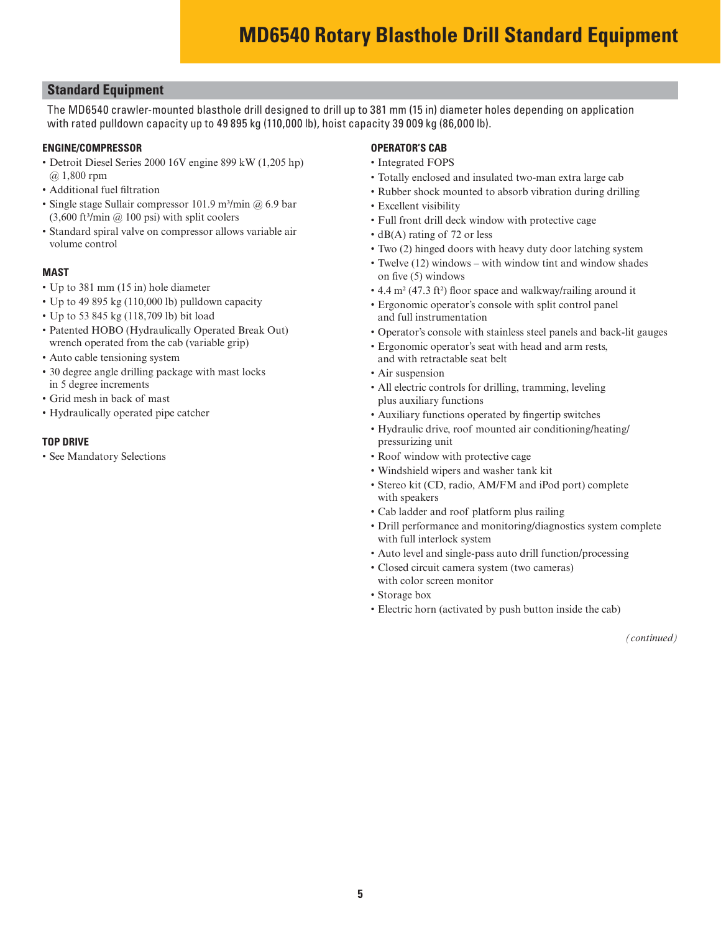### **Standard Equipment**

The MD6540 crawler-mounted blasthole drill designed to drill up to 381 mm (15 in) diameter holes depending on application with rated pulldown capacity up to 49 895 kg (110,000 lb), hoist capacity 39 009 kg (86,000 lb).

#### **ENGINE/COMPRESSOR**

- Detroit Diesel Series 2000 16V engine 899 kW (1,205 hp) @ 1,800 rpm
- Additional fuel filtration
- Single stage Sullair compressor 101.9 m<sup>3</sup>/min  $@$  6.9 bar  $(3,600 \text{ ft}^3/\text{min} \text{ (}2,00 \text{ psi}) \text{ with split cooders}$
- Standard spiral valve on compressor allows variable air volume control

#### **MAST**

- Up to 381 mm (15 in) hole diameter
- Up to 49 895 kg (110,000 lb) pulldown capacity
- Up to 53 845 kg (118,709 lb) bit load
- Patented HOBO (Hydraulically Operated Break Out) wrench operated from the cab (variable grip)
- Auto cable tensioning system
- 30 degree angle drilling package with mast locks in 5 degree increments
- Grid mesh in back of mast
- Hydraulically operated pipe catcher

#### **TOP DRIVE**

• See Mandatory Selections

#### **OPERATOR'S CAB**

- Integrated FOPS
- Totally enclosed and insulated two-man extra large cab
- Rubber shock mounted to absorb vibration during drilling
- Excellent visibility
- Full front drill deck window with protective cage
- dB(A) rating of 72 or less
- Two (2) hinged doors with heavy duty door latching system
- Twelve (12) windows with window tint and window shades on five (5) windows
- 4.4 m<sup>2</sup> (47.3 ft<sup>2</sup>) floor space and walkway/railing around it
- Ergonomic operator's console with split control panel and full instrumentation
- Operator's console with stainless steel panels and back-lit gauges
- Ergonomic operator's seat with head and arm rests, and with retractable seat belt
- Air suspension
- All electric controls for drilling, tramming, leveling plus auxiliary functions
- Auxiliary functions operated by fingertip switches
- Hydraulic drive, roof mounted air conditioning/heating/ pressurizing unit
- Roof window with protective cage
- Windshield wipers and washer tank kit
- Stereo kit (CD, radio, AM/FM and iPod port) complete with speakers
- Cab ladder and roof platform plus railing
- Drill performance and monitoring/diagnostics system complete with full interlock system
- Auto level and single-pass auto drill function/processing
- Closed circuit camera system (two cameras) with color screen monitor
- Storage box
- Electric horn (activated by push button inside the cab)

*(continued)*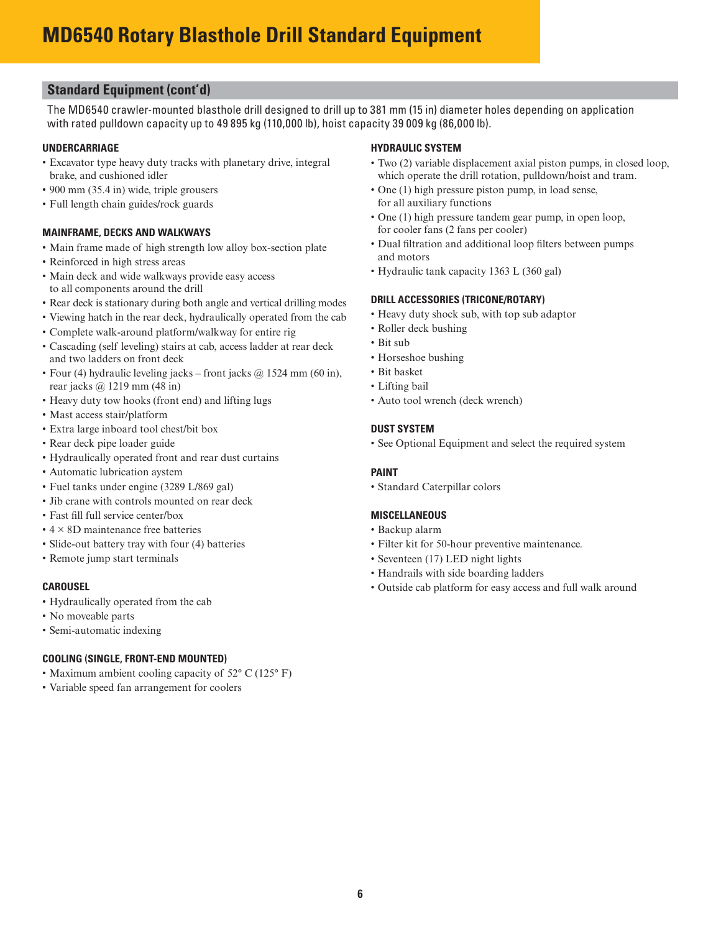# **MD6540 Rotary Blasthole Drill Standard Equipment**

### **Standard Equipment (cont'd)**

The MD6540 crawler-mounted blasthole drill designed to drill up to 381 mm (15 in) diameter holes depending on application with rated pulldown capacity up to 49 895 kg (110,000 lb), hoist capacity 39 009 kg (86,000 lb).

#### **UNDERCARRIAGE**

- Excavator type heavy duty tracks with planetary drive, integral brake, and cushioned idler
- 900 mm (35.4 in) wide, triple grousers
- Full length chain guides/rock guards

#### **MAINFRAME, DECKS AND WALKWAYS**

- Main frame made of high strength low alloy box-section plate
- Reinforced in high stress areas
- Main deck and wide walkways provide easy access to all components around the drill
- Rear deck is stationary during both angle and vertical drilling modes
- Viewing hatch in the rear deck, hydraulically operated from the cab
- Complete walk-around platform/walkway for entire rig
- Cascading (self leveling) stairs at cab, access ladder at rear deck and two ladders on front deck
- Four (4) hydraulic leveling jacks front jacks  $\omega$  1524 mm (60 in), rear jacks @ 1219 mm (48 in)
- Heavy duty tow hooks (front end) and lifting lugs
- Mast access stair/platform
- Extra large inboard tool chest/bit box
- Rear deck pipe loader guide
- Hydraulically operated front and rear dust curtains
- Automatic lubrication aystem
- Fuel tanks under engine (3289 L/869 gal)
- Jib crane with controls mounted on rear deck
- Fast fill full service center/box
- $\cdot$  4  $\times$  8D maintenance free batteries
- Slide-out battery tray with four (4) batteries
- Remote jump start terminals

#### **CAROUSEL**

- Hydraulically operated from the cab
- No moveable parts
- Semi-automatic indexing

#### **COOLING (SINGLE, FRONT-END MOUNTED)**

- Maximum ambient cooling capacity of 52° C (125° F)
- Variable speed fan arrangement for coolers

#### **HYDRAULIC SYSTEM**

- Two (2) variable displacement axial piston pumps, in closed loop, which operate the drill rotation, pulldown/hoist and tram.
- One (1) high pressure piston pump, in load sense, for all auxiliary functions
- One (1) high pressure tandem gear pump, in open loop, for cooler fans (2 fans per cooler)
- Dual filtration and additional loop filters between pumps and motors
- Hydraulic tank capacity 1363 L (360 gal)

#### **DRILL ACCESSORIES (TRICONE/ROTARY)**

- Heavy duty shock sub, with top sub adaptor
- Roller deck bushing
- Bit sub
- Horseshoe bushing
- Bit basket
- Lifting bail
- Auto tool wrench (deck wrench)

#### **DUST SYSTEM**

• See Optional Equipment and select the required system

#### **PAINT**

• Standard Caterpillar colors

#### **MISCELLANEOUS**

- Backup alarm
- Filter kit for 50-hour preventive maintenance.
- Seventeen (17) LED night lights
- Handrails with side boarding ladders
- Outside cab platform for easy access and full walk around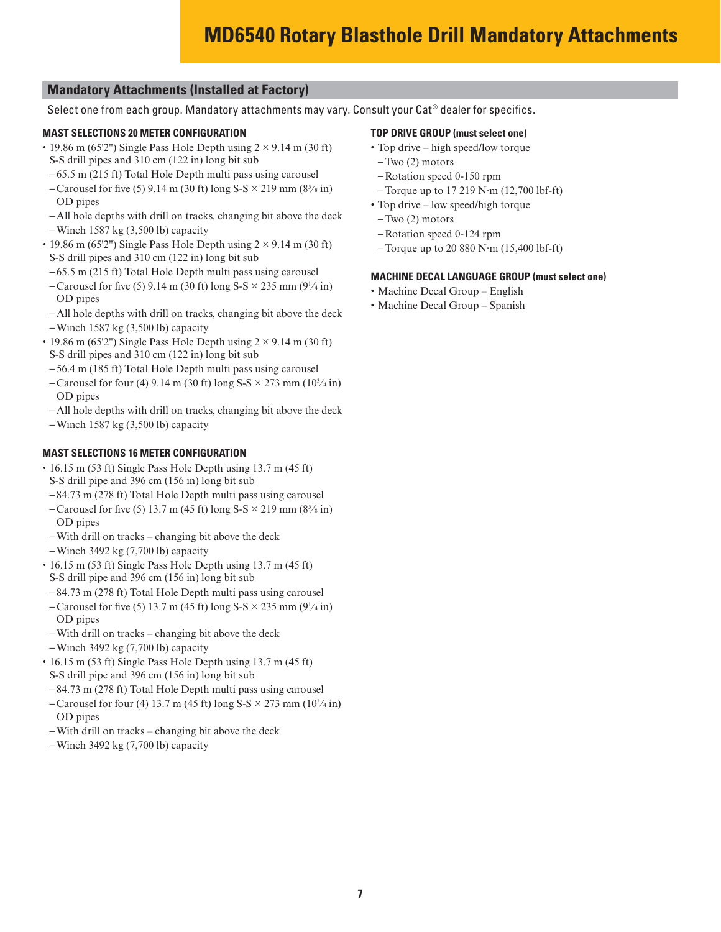# **MD6540 Rotary Blasthole Drill Mandatory Attachments**

### **Mandatory Attachments (Installed at Factory)**

Select one from each group. Mandatory attachments may vary. Consult your Cat® dealer for specifics.

#### **MAST SELECTIONS 20 METER CONFIGURATION**

- 19.86 m (65'2") Single Pass Hole Depth using  $2 \times 9.14$  m (30 ft) S-S drill pipes and 310 cm (122 in) long bit sub
- 65.5 m (215 ft) Total Hole Depth multi pass using carousel
- $-$  Carousel for five (5) 9.14 m (30 ft) long S-S  $\times$  219 mm (8<sup>5</sup>/s in) OD pipes
- All hole depths with drill on tracks, changing bit above the deck
- Winch 1587 kg (3,500 lb) capacity
- 19.86 m (65'2") Single Pass Hole Depth using  $2 \times 9.14$  m (30 ft) S-S drill pipes and 310 cm (122 in) long bit sub
- 65.5 m (215 ft) Total Hole Depth multi pass using carousel
- $-$  Carousel for five (5) 9.14 m (30 ft) long S-S  $\times$  235 mm (9<sup>1</sup>/4 in) OD pipes
- All hole depths with drill on tracks, changing bit above the deck
- Winch 1587 kg (3,500 lb) capacity
- 19.86 m (65'2") Single Pass Hole Depth using  $2 \times 9.14$  m (30 ft) S-S drill pipes and 310 cm (122 in) long bit sub
- 56.4 m (185 ft) Total Hole Depth multi pass using carousel
- $-$  Carousel for four (4) 9.14 m (30 ft) long S-S  $\times$  273 mm (10<sup>3</sup>/<sub>4</sub> in) OD pipes
- All hole depths with drill on tracks, changing bit above the deck
- Winch 1587 kg (3,500 lb) capacity

#### **MAST SELECTIONS 16 METER CONFIGURATION**

- 16.15 m (53 ft) Single Pass Hole Depth using 13.7 m (45 ft) S-S drill pipe and 396 cm (156 in) long bit sub
- 84.73 m (278 ft) Total Hole Depth multi pass using carousel
- $-$  Carousel for five (5) 13.7 m (45 ft) long S-S  $\times$  219 mm (8<sup>5</sup>/s in) OD pipes
- With drill on tracks changing bit above the deck
- Winch 3492 kg (7,700 lb) capacity
- 16.15 m (53 ft) Single Pass Hole Depth using 13.7 m (45 ft) S-S drill pipe and 396 cm (156 in) long bit sub
- 84.73 m (278 ft) Total Hole Depth multi pass using carousel
- $-$  Carousel for five (5) 13.7 m (45 ft) long S-S  $\times$  235 mm (9<sup>1</sup>/4 in) OD pipes
- With drill on tracks changing bit above the deck
- Winch 3492 kg (7,700 lb) capacity
- 16.15 m (53 ft) Single Pass Hole Depth using 13.7 m (45 ft) S-S drill pipe and 396 cm (156 in) long bit sub
- 84.73 m (278 ft) Total Hole Depth multi pass using carousel
- $-$  Carousel for four (4) 13.7 m (45 ft) long S-S  $\times$  273 mm (10<sup>3</sup>/<sub>4</sub> in) OD pipes
- With drill on tracks changing bit above the deck
- Winch 3492 kg (7,700 lb) capacity

#### **TOP DRIVE GROUP (must select one)**

- Top drive high speed/low torque
- Two (2) motors
- Rotation speed 0-150 rpm
- Torque up to  $17\ 219$  N·m  $(12,700)$  lbf-ft)
- Top drive low speed/high torque
- Two (2) motors
- Rotation speed 0-124 rpm
- Torque up to 20 880 N·m  $(15,400 \text{ lbf-fit})$

#### **MACHINE DECAL LANGUAGE GROUP (must select one)**

- Machine Decal Group English
- Machine Decal Group Spanish